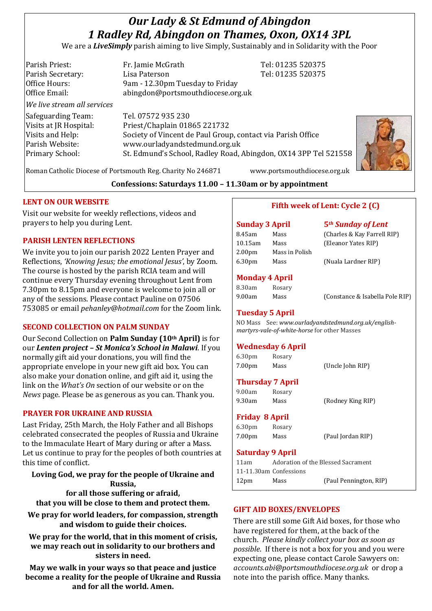# *Our Lady & St Edmund of Abingdon 1 Radley Rd, Abingdon on Thames, Oxon, OX14 3PL*

We are a *LiveSimply* parish aiming to live Simply, Sustainably and in Solidarity with the Poor

| Parish Priest:              | Fr. Jamie McGrath                                               | Tel: 01235 520375            |
|-----------------------------|-----------------------------------------------------------------|------------------------------|
| Parish Secretary:           | Lisa Paterson                                                   | Tel: 01235 520375            |
| Office Hours:               | 9am - 12.30pm Tuesday to Friday                                 |                              |
| Office Email:               | abingdon@portsmouthdiocese.org.uk                               |                              |
| We live stream all services |                                                                 |                              |
| Safeguarding Team:          | Tel. 07572 935 230                                              |                              |
| Visits at JR Hospital:      | Priest/Chaplain 01865 221732                                    |                              |
| Visits and Help:            | Society of Vincent de Paul Group, contact via Parish Office     |                              |
| Parish Website:             | www.ourladyandstedmund.org.uk                                   |                              |
| Primary School:             | St. Edmund's School, Radley Road, Abingdon, OX14 3PP Tel 521558 |                              |
|                             | Roman Catholic Diocese of Portsmouth Reg. Charity No 246871     | www.portsmouthdiocese.org.uk |



**Confessions: Saturdays 11.00 – 11.30am or by appointment**

## **LENT ON OUR WEBSITE**

Visit our website for weekly reflections, videos and prayers to help you during Lent.

## **PARISH LENTEN REFLECTIONS**

We invite you to join our parish 2022 Lenten Prayer and Reflections, *'Knowing Jesus; the emotional Jesus'*, by Zoom. The course is hosted by the parish RCIA team and will continue every Thursday evening throughout Lent from 7.30pm to 8.15pm and everyone is welcome to join all or any of the sessions. Please contact Pauline on 07506 753085 or email *pehanley@hotmail.com* for the Zoom link.

# **SECOND COLLECTION ON PALM SUNDAY**

Our Second Collection on **Palm Sunday (10th April)** is for our *Lenten project – St Monica's School in Malawi*. If you normally gift aid your donations, you will find the appropriate envelope in your new gift aid box. You can also make your donation online, and gift aid it, using the link on the *What's On* section of our website or on the *News* page. Please be as generous as you can. Thank you.

## **PRAYER FOR UKRAINE AND RUSSIA**

Last Friday, 25th March, the Holy Father and all Bishops celebrated consecrated the peoples of Russia and Ukraine to the Immaculate Heart of Mary during or after a Mass. Let us continue to pray for the peoples of both countries at this time of conflict.

**Loving God, we pray for the people of Ukraine and Russia, for all those suffering or afraid, that you will be close to them and protect them.**

**We pray for world leaders, for compassion, strength and wisdom to guide their choices.**

**We pray for the world, that in this moment of crisis, we may reach out in solidarity to our brothers and sisters in need.**

**May we walk in your ways so that peace and justice become a reality for the people of Ukraine and Russia and for all the world. Amen.**

# **Fifth week of Lent: Cycle 2 (C)**

## **Sunday 3 April 5***th Sunday of Lent*

| Mass           | (Charles & Kay Farrell RIP) |
|----------------|-----------------------------|
| Mass           | (Eleanor Yates RIP)         |
| Mass in Polish |                             |
| Mass           | (Nuala Lardner RIP)         |
|                |                             |

# **Monday 4 April**

| 8.30am | Rosary |
|--------|--------|
| 9.00am | Mass   |

(Constance & Isabella Pole RIP)

## **Tuesday 5 April**

NO Mass See: *www.ourladyandstedmund.org.uk/englishmartyrs-vale-of-white-horse* for other Masses

# **Wednesday 6 April**

6.30pm Rosary 7.00pm Mass (Uncle John RIP)

## **Thursday 7 April**

9.00am Rosary 9.30am Mass (Rodney King RIP)

**Friday 8 April**

6.30pm Rosary 7.00pm Mass (Paul Jordan RIP)

## **Saturday 9 April**

11am Adoration of the Blessed Sacrament 11-11.30am Confessions 12pm Mass (Paul Pennington, RIP)

# **GIFT AID BOXES/ENVELOPES**

There are still some Gift Aid boxes, for those who have registered for them, at the back of the church. *Please kindly collect your box as soon as possible*. If there is not a box for you and you were expecting one, please contact Carole Sawyers on: *accounts.abi@portsmouthdiocese.org.uk* or drop a note into the parish office. Many thanks.